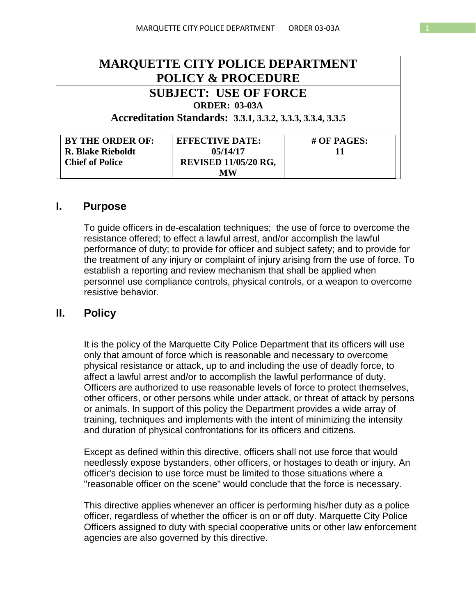| <b>MARQUETTE CITY POLICE DEPARTMENT</b>                    |                             |             |
|------------------------------------------------------------|-----------------------------|-------------|
| <b>POLICY &amp; PROCEDURE</b>                              |                             |             |
| <b>SUBJECT: USE OF FORCE</b>                               |                             |             |
| <b>ORDER: 03-03A</b>                                       |                             |             |
| Accreditation Standards: 3.3.1, 3.3.2, 3.3.3, 3.3.4, 3.3.5 |                             |             |
| <b>BY THE ORDER OF:</b>                                    | <b>EFFECTIVE DATE:</b>      | # OF PAGES: |
| <b>R. Blake Rieboldt</b>                                   | 05/14/17                    | 11          |
| <b>Chief of Police</b>                                     | <b>REVISED 11/05/20 RG,</b> |             |
|                                                            |                             |             |

#### **I. Purpose**

To guide officers in de-escalation techniques; the use of force to overcome the resistance offered; to effect a lawful arrest, and/or accomplish the lawful performance of duty; to provide for officer and subject safety; and to provide for the treatment of any injury or complaint of injury arising from the use of force. To establish a reporting and review mechanism that shall be applied when personnel use compliance controls, physical controls, or a weapon to overcome resistive behavior.

#### **II. Policy**

It is the policy of the Marquette City Police Department that its officers will use only that amount of force which is reasonable and necessary to overcome physical resistance or attack, up to and including the use of deadly force, to affect a lawful arrest and/or to accomplish the lawful performance of duty. Officers are authorized to use reasonable levels of force to protect themselves, other officers, or other persons while under attack, or threat of attack by persons or animals. In support of this policy the Department provides a wide array of training, techniques and implements with the intent of minimizing the intensity and duration of physical confrontations for its officers and citizens.

Except as defined within this directive, officers shall not use force that would needlessly expose bystanders, other officers, or hostages to death or injury. An officer's decision to use force must be limited to those situations where a "reasonable officer on the scene" would conclude that the force is necessary.

This directive applies whenever an officer is performing his/her duty as a police officer, regardless of whether the officer is on or off duty. Marquette City Police Officers assigned to duty with special cooperative units or other law enforcement agencies are also governed by this directive.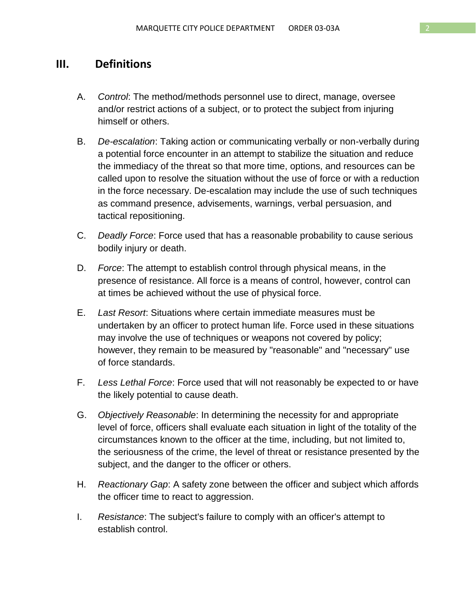### **III. Definitions**

- A. *Control*: The method/methods personnel use to direct, manage, oversee and/or restrict actions of a subject, or to protect the subject from injuring himself or others.
- B. *De-escalation*: Taking action or communicating verbally or non-verbally during a potential force encounter in an attempt to stabilize the situation and reduce the immediacy of the threat so that more time, options, and resources can be called upon to resolve the situation without the use of force or with a reduction in the force necessary. De-escalation may include the use of such techniques as command presence, advisements, warnings, verbal persuasion, and tactical repositioning.
- C. *Deadly Force*: Force used that has a reasonable probability to cause serious bodily injury or death.
- D. *Force*: The attempt to establish control through physical means, in the presence of resistance. All force is a means of control, however, control can at times be achieved without the use of physical force.
- E. *Last Resort*: Situations where certain immediate measures must be undertaken by an officer to protect human life. Force used in these situations may involve the use of techniques or weapons not covered by policy; however, they remain to be measured by "reasonable" and "necessary" use of force standards.
- F. *Less Lethal Force*: Force used that will not reasonably be expected to or have the likely potential to cause death.
- G. *Objectively Reasonable*: In determining the necessity for and appropriate level of force, officers shall evaluate each situation in light of the totality of the circumstances known to the officer at the time, including, but not limited to, the seriousness of the crime, the level of threat or resistance presented by the subject, and the danger to the officer or others.
- H. *Reactionary Gap*: A safety zone between the officer and subject which affords the officer time to react to aggression.
- I. *Resistance*: The subject's failure to comply with an officer's attempt to establish control.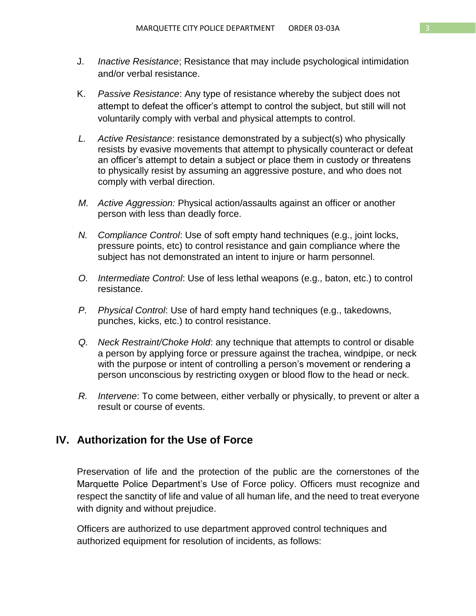- J. *Inactive Resistance*; Resistance that may include psychological intimidation and/or verbal resistance.
- K. *Passive Resistance*: Any type of resistance whereby the subject does not attempt to defeat the officer's attempt to control the subject, but still will not voluntarily comply with verbal and physical attempts to control.
- *L. Active Resistance*: resistance demonstrated by a subject(s) who physically resists by evasive movements that attempt to physically counteract or defeat an officer's attempt to detain a subject or place them in custody or threatens to physically resist by assuming an aggressive posture, and who does not comply with verbal direction.
- *M. Active Aggression:* Physical action/assaults against an officer or another person with less than deadly force.
- *N. Compliance Control*: Use of soft empty hand techniques (e.g., joint locks, pressure points, etc) to control resistance and gain compliance where the subject has not demonstrated an intent to injure or harm personnel.
- *O. Intermediate Control*: Use of less lethal weapons (e.g., baton, etc.) to control resistance.
- *P. Physical Control*: Use of hard empty hand techniques (e.g., takedowns, punches, kicks, etc.) to control resistance.
- *Q. Neck Restraint/Choke Hold*: any technique that attempts to control or disable a person by applying force or pressure against the trachea, windpipe, or neck with the purpose or intent of controlling a person's movement or rendering a person unconscious by restricting oxygen or blood flow to the head or neck.
- *R. Intervene*: To come between, either verbally or physically, to prevent or alter a result or course of events.

### **IV. Authorization for the Use of Force**

Preservation of life and the protection of the public are the cornerstones of the Marquette Police Department's Use of Force policy. Officers must recognize and respect the sanctity of life and value of all human life, and the need to treat everyone with dignity and without prejudice.

Officers are authorized to use department approved control techniques and authorized equipment for resolution of incidents, as follows: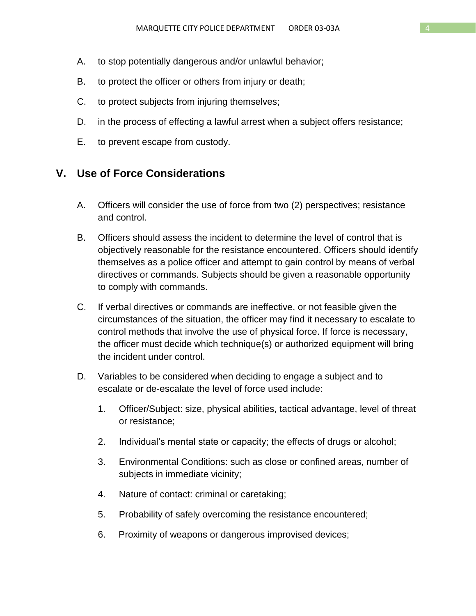- A. to stop potentially dangerous and/or unlawful behavior;
- B. to protect the officer or others from injury or death;
- C. to protect subjects from injuring themselves;
- D. in the process of effecting a lawful arrest when a subject offers resistance;
- E. to prevent escape from custody.

### **V. Use of Force Considerations**

- A. Officers will consider the use of force from two (2) perspectives; resistance and control.
- B. Officers should assess the incident to determine the level of control that is objectively reasonable for the resistance encountered. Officers should identify themselves as a police officer and attempt to gain control by means of verbal directives or commands. Subjects should be given a reasonable opportunity to comply with commands.
- C. If verbal directives or commands are ineffective, or not feasible given the circumstances of the situation, the officer may find it necessary to escalate to control methods that involve the use of physical force. If force is necessary, the officer must decide which technique(s) or authorized equipment will bring the incident under control.
- D. Variables to be considered when deciding to engage a subject and to escalate or de-escalate the level of force used include:
	- 1. Officer/Subject: size, physical abilities, tactical advantage, level of threat or resistance;
	- 2. Individual's mental state or capacity; the effects of drugs or alcohol;
	- 3. Environmental Conditions: such as close or confined areas, number of subjects in immediate vicinity;
	- 4. Nature of contact: criminal or caretaking;
	- 5. Probability of safely overcoming the resistance encountered;
	- 6. Proximity of weapons or dangerous improvised devices;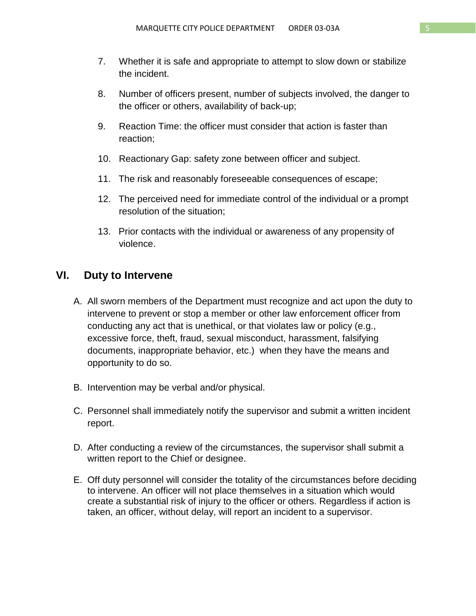- 7. Whether it is safe and appropriate to attempt to slow down or stabilize the incident.
- 8. Number of officers present, number of subjects involved, the danger to the officer or others, availability of back-up;
- 9. Reaction Time: the officer must consider that action is faster than reaction;
- 10. Reactionary Gap: safety zone between officer and subject.
- 11. The risk and reasonably foreseeable consequences of escape;
- 12. The perceived need for immediate control of the individual or a prompt resolution of the situation;
- 13. Prior contacts with the individual or awareness of any propensity of violence.

### **VI. Duty to Intervene**

- A. All sworn members of the Department must recognize and act upon the duty to intervene to prevent or stop a member or other law enforcement officer from conducting any act that is unethical, or that violates law or policy (e.g., excessive force, theft, fraud, sexual misconduct, harassment, falsifying documents, inappropriate behavior, etc.) when they have the means and opportunity to do so.
- B. Intervention may be verbal and/or physical.
- C. Personnel shall immediately notify the supervisor and submit a written incident report.
- D. After conducting a review of the circumstances, the supervisor shall submit a written report to the Chief or designee.
- E. Off duty personnel will consider the totality of the circumstances before deciding to intervene. An officer will not place themselves in a situation which would create a substantial risk of injury to the officer or others. Regardless if action is taken, an officer, without delay, will report an incident to a supervisor.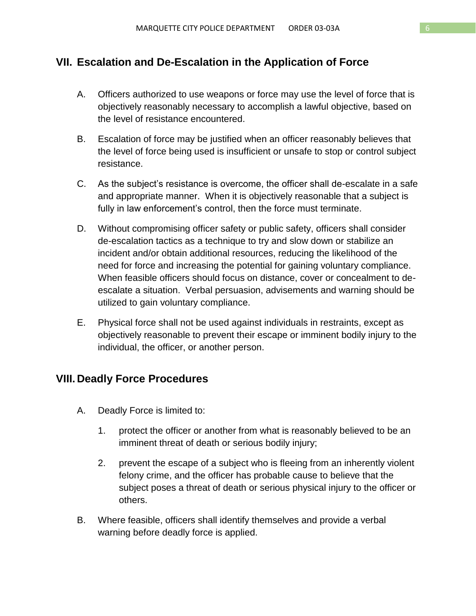## **VII. Escalation and De-Escalation in the Application of Force**

- A. Officers authorized to use weapons or force may use the level of force that is objectively reasonably necessary to accomplish a lawful objective, based on the level of resistance encountered.
- B. Escalation of force may be justified when an officer reasonably believes that the level of force being used is insufficient or unsafe to stop or control subject resistance.
- C. As the subject's resistance is overcome, the officer shall de-escalate in a safe and appropriate manner. When it is objectively reasonable that a subject is fully in law enforcement's control, then the force must terminate.
- D. Without compromising officer safety or public safety, officers shall consider de-escalation tactics as a technique to try and slow down or stabilize an incident and/or obtain additional resources, reducing the likelihood of the need for force and increasing the potential for gaining voluntary compliance. When feasible officers should focus on distance, cover or concealment to deescalate a situation. Verbal persuasion, advisements and warning should be utilized to gain voluntary compliance.
- E. Physical force shall not be used against individuals in restraints, except as objectively reasonable to prevent their escape or imminent bodily injury to the individual, the officer, or another person.

## **VIII. Deadly Force Procedures**

- A. Deadly Force is limited to:
	- 1. protect the officer or another from what is reasonably believed to be an imminent threat of death or serious bodily injury;
	- 2. prevent the escape of a subject who is fleeing from an inherently violent felony crime, and the officer has probable cause to believe that the subject poses a threat of death or serious physical injury to the officer or others.
- B. Where feasible, officers shall identify themselves and provide a verbal warning before deadly force is applied.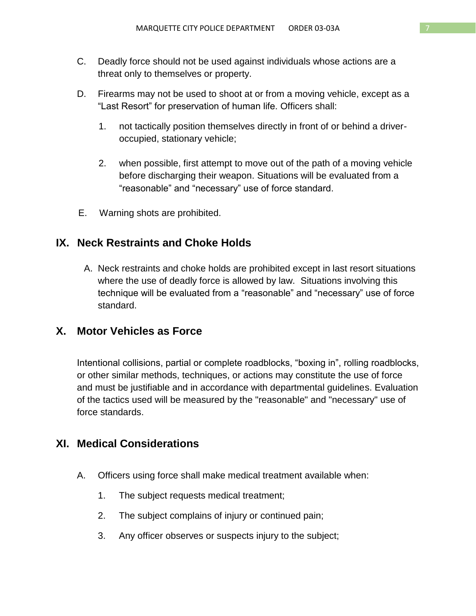- C. Deadly force should not be used against individuals whose actions are a threat only to themselves or property.
- D. Firearms may not be used to shoot at or from a moving vehicle, except as a "Last Resort" for preservation of human life. Officers shall:
	- 1. not tactically position themselves directly in front of or behind a driveroccupied, stationary vehicle;
	- 2. when possible, first attempt to move out of the path of a moving vehicle before discharging their weapon. Situations will be evaluated from a "reasonable" and "necessary" use of force standard.
- E. Warning shots are prohibited.

# **IX. Neck Restraints and Choke Holds**

A. Neck restraints and choke holds are prohibited except in last resort situations where the use of deadly force is allowed by law. Situations involving this technique will be evaluated from a "reasonable" and "necessary" use of force standard.

## **X. Motor Vehicles as Force**

Intentional collisions, partial or complete roadblocks, "boxing in", rolling roadblocks, or other similar methods, techniques, or actions may constitute the use of force and must be justifiable and in accordance with departmental guidelines. Evaluation of the tactics used will be measured by the "reasonable" and "necessary" use of force standards.

# **XI. Medical Considerations**

- A. Officers using force shall make medical treatment available when:
	- 1. The subject requests medical treatment;
	- 2. The subject complains of injury or continued pain;
	- 3. Any officer observes or suspects injury to the subject;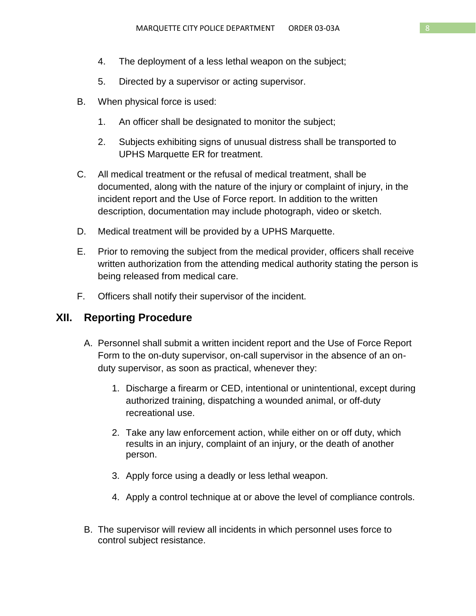- 4. The deployment of a less lethal weapon on the subject;
- 5. Directed by a supervisor or acting supervisor.
- B. When physical force is used:
	- 1. An officer shall be designated to monitor the subject;
	- 2. Subjects exhibiting signs of unusual distress shall be transported to UPHS Marquette ER for treatment.
- C. All medical treatment or the refusal of medical treatment, shall be documented, along with the nature of the injury or complaint of injury, in the incident report and the Use of Force report. In addition to the written description, documentation may include photograph, video or sketch.
- D. Medical treatment will be provided by a UPHS Marquette.
- E. Prior to removing the subject from the medical provider, officers shall receive written authorization from the attending medical authority stating the person is being released from medical care.
- F. Officers shall notify their supervisor of the incident.

## **XII. Reporting Procedure**

- A. Personnel shall submit a written incident report and the Use of Force Report Form to the on-duty supervisor, on-call supervisor in the absence of an onduty supervisor, as soon as practical, whenever they:
	- 1. Discharge a firearm or CED, intentional or unintentional, except during authorized training, dispatching a wounded animal, or off-duty recreational use.
	- 2. Take any law enforcement action, while either on or off duty, which results in an injury, complaint of an injury, or the death of another person.
	- 3. Apply force using a deadly or less lethal weapon.
	- 4. Apply a control technique at or above the level of compliance controls.
- B. The supervisor will review all incidents in which personnel uses force to control subject resistance.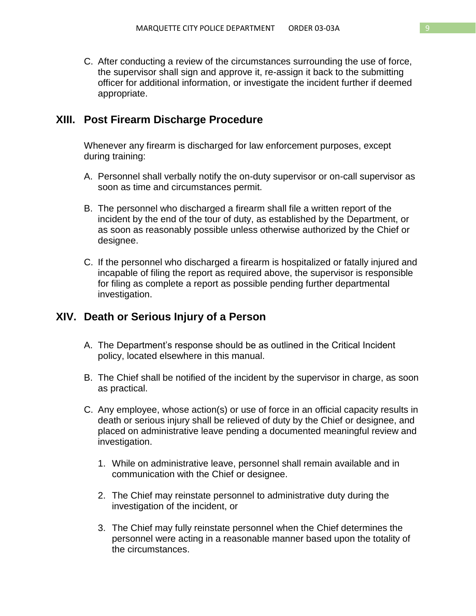C. After conducting a review of the circumstances surrounding the use of force, the supervisor shall sign and approve it, re-assign it back to the submitting officer for additional information, or investigate the incident further if deemed appropriate.

### **XIII. Post Firearm Discharge Procedure**

Whenever any firearm is discharged for law enforcement purposes, except during training:

- A. Personnel shall verbally notify the on-duty supervisor or on-call supervisor as soon as time and circumstances permit.
- B. The personnel who discharged a firearm shall file a written report of the incident by the end of the tour of duty, as established by the Department, or as soon as reasonably possible unless otherwise authorized by the Chief or designee.
- C. If the personnel who discharged a firearm is hospitalized or fatally injured and incapable of filing the report as required above, the supervisor is responsible for filing as complete a report as possible pending further departmental investigation.

## **XIV. Death or Serious Injury of a Person**

- A. The Department's response should be as outlined in the Critical Incident policy, located elsewhere in this manual.
- B. The Chief shall be notified of the incident by the supervisor in charge, as soon as practical.
- C. Any employee, whose action(s) or use of force in an official capacity results in death or serious injury shall be relieved of duty by the Chief or designee, and placed on administrative leave pending a documented meaningful review and investigation.
	- 1. While on administrative leave, personnel shall remain available and in communication with the Chief or designee.
	- 2. The Chief may reinstate personnel to administrative duty during the investigation of the incident, or
	- 3. The Chief may fully reinstate personnel when the Chief determines the personnel were acting in a reasonable manner based upon the totality of the circumstances.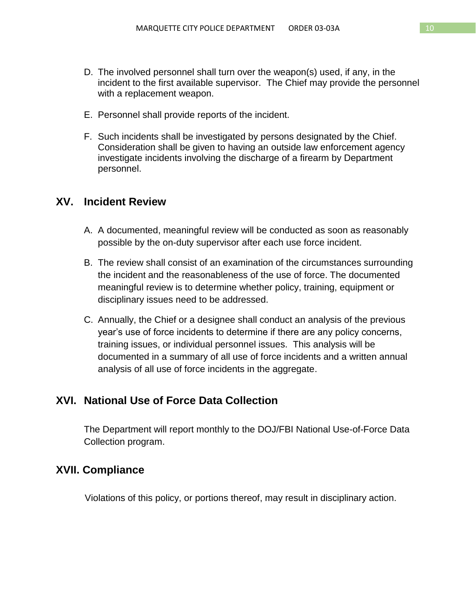- D. The involved personnel shall turn over the weapon(s) used, if any, in the incident to the first available supervisor.The Chief may provide the personnel with a replacement weapon.
- E. Personnel shall provide reports of the incident.
- F. Such incidents shall be investigated by persons designated by the Chief. Consideration shall be given to having an outside law enforcement agency investigate incidents involving the discharge of a firearm by Department personnel.

### **XV. Incident Review**

- A. A documented, meaningful review will be conducted as soon as reasonably possible by the on-duty supervisor after each use force incident.
- B. The review shall consist of an examination of the circumstances surrounding the incident and the reasonableness of the use of force. The documented meaningful review is to determine whether policy, training, equipment or disciplinary issues need to be addressed.
- C. Annually, the Chief or a designee shall conduct an analysis of the previous year's use of force incidents to determine if there are any policy concerns, training issues, or individual personnel issues. This analysis will be documented in a summary of all use of force incidents and a written annual analysis of all use of force incidents in the aggregate.

## **XVI. National Use of Force Data Collection**

The Department will report monthly to the DOJ/FBI National Use-of-Force Data Collection program.

#### **XVII. Compliance**

Violations of this policy, or portions thereof, may result in disciplinary action.